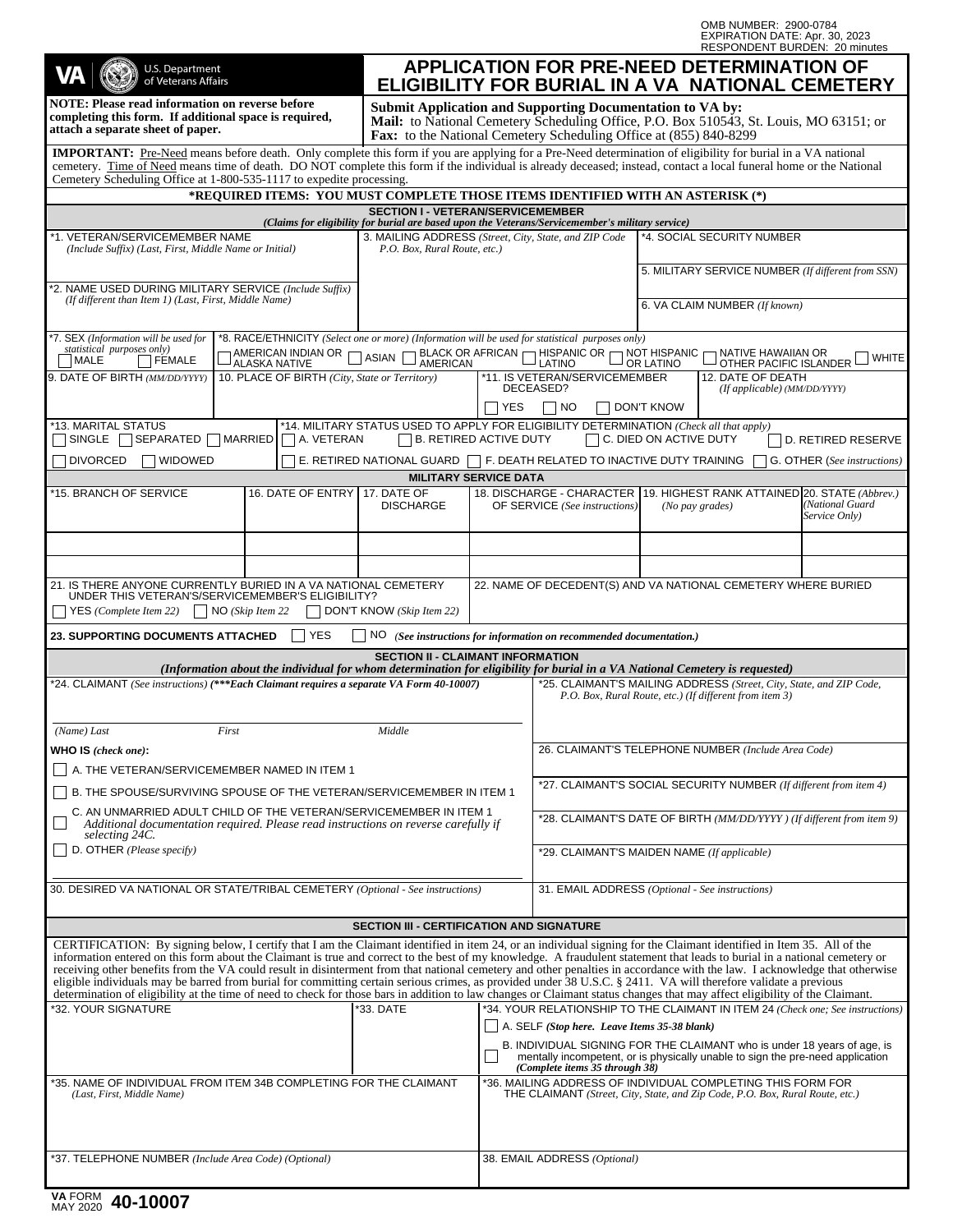OMB NUMBER: 2900-0784 EXPIRATION DATE: Apr. 30, 2023 RESPONDENT BURDEN: 20 minutes

| U.S. Department<br>of Veterans Affairs                                                                                                                                                                                                                                                                                                                                                                                                                                                                                                                                                                                                                                                                                                                                                                                                                                             |                                                                                                                                                                                                                      | <b>APPLICATION FOR PRE-NEED DETERMINATION OF</b><br>ELIGIBILITY FOR BURIAL IN A VA NATIONAL CEMETERY                                                                                                                            |                                                                                                                                                                                                           |                                                                                     |  |                                               |  |
|------------------------------------------------------------------------------------------------------------------------------------------------------------------------------------------------------------------------------------------------------------------------------------------------------------------------------------------------------------------------------------------------------------------------------------------------------------------------------------------------------------------------------------------------------------------------------------------------------------------------------------------------------------------------------------------------------------------------------------------------------------------------------------------------------------------------------------------------------------------------------------|----------------------------------------------------------------------------------------------------------------------------------------------------------------------------------------------------------------------|---------------------------------------------------------------------------------------------------------------------------------------------------------------------------------------------------------------------------------|-----------------------------------------------------------------------------------------------------------------------------------------------------------------------------------------------------------|-------------------------------------------------------------------------------------|--|-----------------------------------------------|--|
| <b>NOTE: Please read information on reverse before</b><br>completing this form. If additional space is required,<br>attach a separate sheet of paper.                                                                                                                                                                                                                                                                                                                                                                                                                                                                                                                                                                                                                                                                                                                              |                                                                                                                                                                                                                      | <b>Submit Application and Supporting Documentation to VA by:</b><br>Mail: to National Cemetery Scheduling Office, P.O. Box 510543, St. Louis, MO 63151; or<br>Fax: to the National Cemetery Scheduling Office at (855) 840-8299 |                                                                                                                                                                                                           |                                                                                     |  |                                               |  |
| IMPORTANT: Pre-Need means before death. Only complete this form if you are applying for a Pre-Need determination of eligibility for burial in a VA national<br>cemetery. Time of Need means time of death. DO NOT complete this form if the individual is already deceased; instead, contact a local funeral home or the National<br>Cemetery Scheduling Office at 1-800-535-1117 to expedite processing.                                                                                                                                                                                                                                                                                                                                                                                                                                                                          |                                                                                                                                                                                                                      |                                                                                                                                                                                                                                 |                                                                                                                                                                                                           |                                                                                     |  |                                               |  |
| *REQUIRED ITEMS: YOU MUST COMPLETE THOSE ITEMS IDENTIFIED WITH AN ASTERISK (*)                                                                                                                                                                                                                                                                                                                                                                                                                                                                                                                                                                                                                                                                                                                                                                                                     |                                                                                                                                                                                                                      |                                                                                                                                                                                                                                 |                                                                                                                                                                                                           |                                                                                     |  |                                               |  |
| <b>SECTION I - VETERAN/SERVICEMEMBER</b><br>(Claims for eligibility for burial are based upon the Veterans/Servicemember's military service)                                                                                                                                                                                                                                                                                                                                                                                                                                                                                                                                                                                                                                                                                                                                       |                                                                                                                                                                                                                      |                                                                                                                                                                                                                                 |                                                                                                                                                                                                           |                                                                                     |  |                                               |  |
| *1. VETERAN/SERVICEMEMBER NAME<br>(Include Suffix) (Last, First, Middle Name or Initial)                                                                                                                                                                                                                                                                                                                                                                                                                                                                                                                                                                                                                                                                                                                                                                                           |                                                                                                                                                                                                                      | 3. MAILING ADDRESS (Street, City, State, and ZIP Code<br>P.O. Box, Rural Route, etc.)                                                                                                                                           |                                                                                                                                                                                                           | *4. SOCIAL SECURITY NUMBER                                                          |  |                                               |  |
| *2. NAME USED DURING MILITARY SERVICE (Include Suffix)<br>(If different than Item 1) (Last, First, Middle Name)                                                                                                                                                                                                                                                                                                                                                                                                                                                                                                                                                                                                                                                                                                                                                                    |                                                                                                                                                                                                                      |                                                                                                                                                                                                                                 |                                                                                                                                                                                                           | 5. MILITARY SERVICE NUMBER (If different from SSN)<br>6. VA CLAIM NUMBER (If known) |  |                                               |  |
| 7. SEX (Information will be used for                                                                                                                                                                                                                                                                                                                                                                                                                                                                                                                                                                                                                                                                                                                                                                                                                                               |                                                                                                                                                                                                                      | *8. RACE/ETHNICITY (Select one or more) (Information will be used for statistical purposes only)                                                                                                                                |                                                                                                                                                                                                           |                                                                                     |  |                                               |  |
| statistical purposes only)<br><sub>I</sub> AMERICAN INDIAN OR<br><b>MALE</b><br><b>FEMALE</b><br><b>ALASKA NATIVE</b><br>9. DATE OF BIRTH (MM/DD/YYYY)<br>10. PLACE OF BIRTH (City, State or Territory)                                                                                                                                                                                                                                                                                                                                                                                                                                                                                                                                                                                                                                                                            | ASIAN ALENOAL PRICAN ARRICAN THISPANIC OR AND THISPANIC ANTIVE HAWAIIAN OR<br><b>WHITE</b><br><b>AMERICAN</b><br>LATINO<br>OTHER PACIFIC ISLANDER<br>OR LATINO<br>*11. IS VETERAN/SERVICEMEMBER<br>12. DATE OF DEATH |                                                                                                                                                                                                                                 |                                                                                                                                                                                                           |                                                                                     |  |                                               |  |
|                                                                                                                                                                                                                                                                                                                                                                                                                                                                                                                                                                                                                                                                                                                                                                                                                                                                                    | DECEASED?<br>(If applicable) (MM/DD/YYYY)<br>YES<br><b>NO</b><br><b>DON'T KNOW</b>                                                                                                                                   |                                                                                                                                                                                                                                 |                                                                                                                                                                                                           |                                                                                     |  |                                               |  |
| *13. MARITAL STATUS                                                                                                                                                                                                                                                                                                                                                                                                                                                                                                                                                                                                                                                                                                                                                                                                                                                                | *14. MILITARY STATUS USED TO APPLY FOR ELIGIBILITY DETERMINATION (Check all that apply)                                                                                                                              |                                                                                                                                                                                                                                 |                                                                                                                                                                                                           |                                                                                     |  |                                               |  |
| $\Box$ SINGLE $\Box$ SEPARATED $\Box$ MARRIED<br>A. VETERAN                                                                                                                                                                                                                                                                                                                                                                                                                                                                                                                                                                                                                                                                                                                                                                                                                        |                                                                                                                                                                                                                      | <b>B. RETIRED ACTIVE DUTY</b>                                                                                                                                                                                                   |                                                                                                                                                                                                           | $\Box$ C. DIED ON ACTIVE DUTY                                                       |  | D. RETIRED RESERVE                            |  |
| <b>DIVORCED</b><br><b>WIDOWED</b>                                                                                                                                                                                                                                                                                                                                                                                                                                                                                                                                                                                                                                                                                                                                                                                                                                                  | E. RETIRED NATIONAL GUARD $\Box$ F. DEATH RELATED TO INACTIVE DUTY TRAINING                                                                                                                                          |                                                                                                                                                                                                                                 |                                                                                                                                                                                                           |                                                                                     |  | G. OTHER (See instructions)                   |  |
| *15. BRANCH OF SERVICE<br>16. DATE OF ENTRY                                                                                                                                                                                                                                                                                                                                                                                                                                                                                                                                                                                                                                                                                                                                                                                                                                        | <b>MILITARY SERVICE DATA</b><br>17. DATE OF                                                                                                                                                                          |                                                                                                                                                                                                                                 | 18. DISCHARGE - CHARACTER                                                                                                                                                                                 |                                                                                     |  | 19. HIGHEST RANK ATTAINED 20. STATE (Abbrev.) |  |
|                                                                                                                                                                                                                                                                                                                                                                                                                                                                                                                                                                                                                                                                                                                                                                                                                                                                                    | <b>DISCHARGE</b>                                                                                                                                                                                                     |                                                                                                                                                                                                                                 | OF SERVICE (See instructions)                                                                                                                                                                             | (No pay grades)                                                                     |  | (National Guard<br>Service Only)              |  |
|                                                                                                                                                                                                                                                                                                                                                                                                                                                                                                                                                                                                                                                                                                                                                                                                                                                                                    |                                                                                                                                                                                                                      |                                                                                                                                                                                                                                 |                                                                                                                                                                                                           |                                                                                     |  |                                               |  |
|                                                                                                                                                                                                                                                                                                                                                                                                                                                                                                                                                                                                                                                                                                                                                                                                                                                                                    |                                                                                                                                                                                                                      |                                                                                                                                                                                                                                 |                                                                                                                                                                                                           |                                                                                     |  |                                               |  |
| 21. IS THERE ANYONE CURRENTLY BURIED IN A VA NATIONAL CEMETERY<br>UNDER THIS VETERAN'S/SERVICEMEMBER'S ELIGIBILITY?<br>YES (Complete Item 22)<br>NO (Skip Item 22<br>DON'T KNOW (Skip Item 22)                                                                                                                                                                                                                                                                                                                                                                                                                                                                                                                                                                                                                                                                                     |                                                                                                                                                                                                                      |                                                                                                                                                                                                                                 | 22. NAME OF DECEDENT(S) AND VA NATIONAL CEMETERY WHERE BURIED                                                                                                                                             |                                                                                     |  |                                               |  |
| YES<br><b>23. SUPPORTING DOCUMENTS ATTACHED</b>                                                                                                                                                                                                                                                                                                                                                                                                                                                                                                                                                                                                                                                                                                                                                                                                                                    |                                                                                                                                                                                                                      |                                                                                                                                                                                                                                 | NO (See instructions for information on recommended documentation.)                                                                                                                                       |                                                                                     |  |                                               |  |
| (Information about the individual for whom determination for eligibility for burial in a VA National Cemetery is requested)                                                                                                                                                                                                                                                                                                                                                                                                                                                                                                                                                                                                                                                                                                                                                        | <b>SECTION II - CLAIMANT INFORMATION</b>                                                                                                                                                                             |                                                                                                                                                                                                                                 |                                                                                                                                                                                                           |                                                                                     |  |                                               |  |
| *24. CLAIMANT (See instructions) (***Each Claimant requires a separate VA Form 40-10007)                                                                                                                                                                                                                                                                                                                                                                                                                                                                                                                                                                                                                                                                                                                                                                                           |                                                                                                                                                                                                                      |                                                                                                                                                                                                                                 | *25. CLAIMANT'S MAILING ADDRESS (Street, City, State, and ZIP Code,<br>P.O. Box, Rural Route, etc.) (If different from item 3)                                                                            |                                                                                     |  |                                               |  |
| (Name) Last<br>First                                                                                                                                                                                                                                                                                                                                                                                                                                                                                                                                                                                                                                                                                                                                                                                                                                                               | Middle                                                                                                                                                                                                               |                                                                                                                                                                                                                                 |                                                                                                                                                                                                           |                                                                                     |  |                                               |  |
| WHO IS (check one):                                                                                                                                                                                                                                                                                                                                                                                                                                                                                                                                                                                                                                                                                                                                                                                                                                                                |                                                                                                                                                                                                                      |                                                                                                                                                                                                                                 | 26. CLAIMANT'S TELEPHONE NUMBER (Include Area Code)                                                                                                                                                       |                                                                                     |  |                                               |  |
| A. THE VETERAN/SERVICEMEMBER NAMED IN ITEM 1                                                                                                                                                                                                                                                                                                                                                                                                                                                                                                                                                                                                                                                                                                                                                                                                                                       |                                                                                                                                                                                                                      |                                                                                                                                                                                                                                 |                                                                                                                                                                                                           |                                                                                     |  |                                               |  |
| B. THE SPOUSE/SURVIVING SPOUSE OF THE VETERAN/SERVICEMEMBER IN ITEM 1                                                                                                                                                                                                                                                                                                                                                                                                                                                                                                                                                                                                                                                                                                                                                                                                              |                                                                                                                                                                                                                      |                                                                                                                                                                                                                                 | *27. CLAIMANT'S SOCIAL SECURITY NUMBER (If different from item 4)                                                                                                                                         |                                                                                     |  |                                               |  |
| C. AN UNMARRIED ADULT CHILD OF THE VETERAN/SERVICEMEMBER IN ITEM 1<br>Additional documentation required. Please read instructions on reverse carefully if<br>selecting 24C.                                                                                                                                                                                                                                                                                                                                                                                                                                                                                                                                                                                                                                                                                                        |                                                                                                                                                                                                                      |                                                                                                                                                                                                                                 |                                                                                                                                                                                                           | *28. CLAIMANT'S DATE OF BIRTH (MM/DD/YYYY) (If different from item 9)               |  |                                               |  |
| $\vert$ D. OTHER (Please specify)                                                                                                                                                                                                                                                                                                                                                                                                                                                                                                                                                                                                                                                                                                                                                                                                                                                  |                                                                                                                                                                                                                      |                                                                                                                                                                                                                                 |                                                                                                                                                                                                           | *29. CLAIMANT'S MAIDEN NAME (If applicable)                                         |  |                                               |  |
| 30. DESIRED VA NATIONAL OR STATE/TRIBAL CEMETERY (Optional - See instructions)                                                                                                                                                                                                                                                                                                                                                                                                                                                                                                                                                                                                                                                                                                                                                                                                     |                                                                                                                                                                                                                      |                                                                                                                                                                                                                                 |                                                                                                                                                                                                           | 31. EMAIL ADDRESS (Optional - See instructions)                                     |  |                                               |  |
|                                                                                                                                                                                                                                                                                                                                                                                                                                                                                                                                                                                                                                                                                                                                                                                                                                                                                    | <b>SECTION III - CERTIFICATION AND SIGNATURE</b>                                                                                                                                                                     |                                                                                                                                                                                                                                 |                                                                                                                                                                                                           |                                                                                     |  |                                               |  |
| CERTIFICATION: By signing below, I certify that I am the Claimant identified in item 24, or an individual signing for the Claimant identified in Item 35. All of the<br>information entered on this form about the Claimant is true and correct to the best of my knowledge. A fraudulent statement that leads to burial in a national cemetery or<br>receiving other benefits from the VA could result in disinterment from that national cemetery and other penalties in accordance with the law. I acknowledge that otherwise<br>eligible individuals may be barred from burial for committing certain serious crimes, as provided under 38 U.S.C. § 2411. VA will therefore validate a previous<br>determination of eligibility at the time of need to check for those bars in addition to law changes or Claimant status changes that may affect eligibility of the Claimant. |                                                                                                                                                                                                                      |                                                                                                                                                                                                                                 |                                                                                                                                                                                                           |                                                                                     |  |                                               |  |
| *32. YOUR SIGNATURE                                                                                                                                                                                                                                                                                                                                                                                                                                                                                                                                                                                                                                                                                                                                                                                                                                                                | *33. DATE                                                                                                                                                                                                            | *34. YOUR RELATIONSHIP TO THE CLAIMANT IN ITEM 24 (Check one; See instructions)                                                                                                                                                 |                                                                                                                                                                                                           |                                                                                     |  |                                               |  |
|                                                                                                                                                                                                                                                                                                                                                                                                                                                                                                                                                                                                                                                                                                                                                                                                                                                                                    |                                                                                                                                                                                                                      |                                                                                                                                                                                                                                 | A. SELF (Stop here. Leave Items 35-38 blank)<br>B. INDIVIDUAL SIGNING FOR THE CLAIMANT who is under 18 years of age, is<br>mentally incompetent, or is physically unable to sign the pre-need application |                                                                                     |  |                                               |  |
| *35. NAME OF INDIVIDUAL FROM ITEM 34B COMPLETING FOR THE CLAIMANT<br>(Last, First, Middle Name)                                                                                                                                                                                                                                                                                                                                                                                                                                                                                                                                                                                                                                                                                                                                                                                    |                                                                                                                                                                                                                      |                                                                                                                                                                                                                                 | (Complete items 35 through 38)<br>*36. MAILING ADDRESS OF INDIVIDUAL COMPLETING THIS FORM FOR<br>THE CLAIMANT (Street, City, State, and Zip Code, P.O. Box, Rural Route, etc.)                            |                                                                                     |  |                                               |  |
|                                                                                                                                                                                                                                                                                                                                                                                                                                                                                                                                                                                                                                                                                                                                                                                                                                                                                    |                                                                                                                                                                                                                      |                                                                                                                                                                                                                                 |                                                                                                                                                                                                           |                                                                                     |  |                                               |  |
| *37. TELEPHONE NUMBER (Include Area Code) (Optional)                                                                                                                                                                                                                                                                                                                                                                                                                                                                                                                                                                                                                                                                                                                                                                                                                               |                                                                                                                                                                                                                      |                                                                                                                                                                                                                                 | 38. EMAIL ADDRESS (Optional)                                                                                                                                                                              |                                                                                     |  |                                               |  |